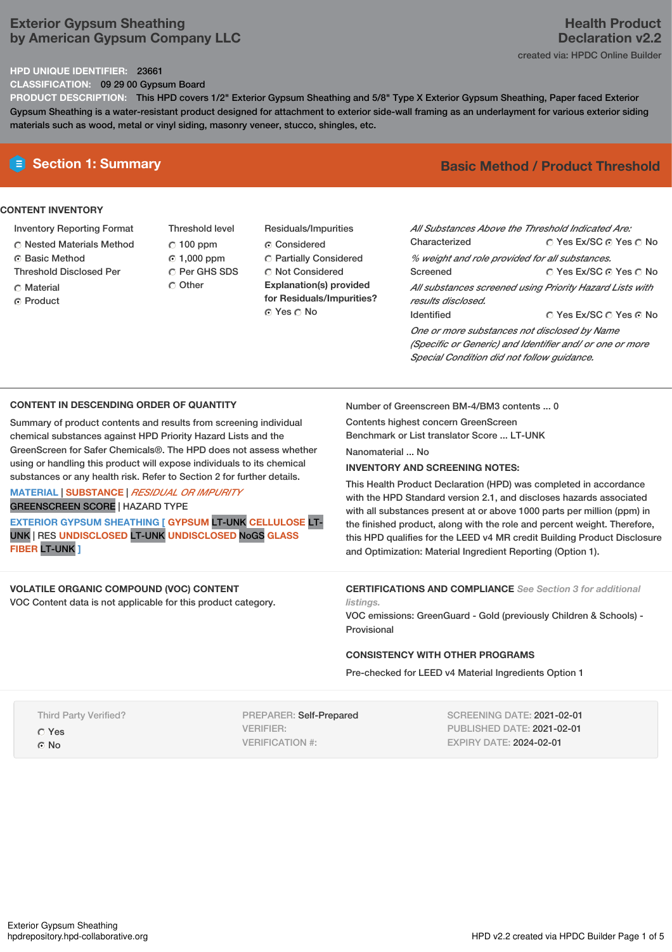## **Exterior Gypsum Sheathing by American Gypsum Company LLC**

#### **HPD UNIQUE IDENTIFIER:** 23661

**CLASSIFICATION:** 09 29 00 Gypsum Board

**PRODUCT DESCRIPTION:** This HPD covers 1/2" Exterior Gypsum Sheathing and 5/8" Type X Exterior Gypsum Sheathing, Paper faced Exterior Gypsum Sheathing is a water-resistant product designed for attachment to exterior side-wall framing as an underlayment for various exterior siding materials such as wood, metal or vinyl siding, masonry veneer, stucco, shingles, etc.

## **CONTENT INVENTORY**

- Inventory Reporting Format
- Nested Materials Method
- **G** Basic Method
- Threshold Disclosed Per
- Material
- ⊙ Product
- Threshold level  $\degree$  100 ppm 1,000 ppm C Per GHS SDS O Other
- Residuals/Impurities C Considered Partially Considered  $\bigcirc$  Not Considered **Explanation(s) provided for Residuals/Impurities?**

© Yes ∩ No

## **Section 1: Summary Basic Method / Product Threshold**

| All Substances Above the Threshold Indicated Are:<br>Characterized                                                                                     | ○ Yes Ex/SC ⊙ Yes ○ No |  |  |
|--------------------------------------------------------------------------------------------------------------------------------------------------------|------------------------|--|--|
| % weight and role provided for all substances.                                                                                                         |                        |  |  |
| Screened                                                                                                                                               | ∩ Yes Ex/SC ∩ Yes ∩ No |  |  |
| All substances screened using Priority Hazard Lists with<br>results disclosed.                                                                         |                        |  |  |
| Identified                                                                                                                                             | ∩ Yes Ex/SC ∩ Yes ∩ No |  |  |
| One or more substances not disclosed by Name<br>(Specific or Generic) and Identifier and/ or one or more<br>Special Condition did not follow quidance. |                        |  |  |

#### **CONTENT IN DESCENDING ORDER OF QUANTITY**

Summary of product contents and results from screening individual chemical substances against HPD Priority Hazard Lists and the GreenScreen for Safer Chemicals®. The HPD does not assess whether using or handling this product will expose individuals to its chemical substances or any health risk. Refer to Section 2 for further details.

### **MATERIAL** | **SUBSTANCE** | *RESIDUAL OR IMPURITY* GREENSCREEN SCORE | HAZARD TYPE

**EXTERIOR GYPSUM SHEATHING [ GYPSUM** LT-UNK **CELLULOSE** LT-UNK | RES **UNDISCLOSED** LT-UNK **UNDISCLOSED** NoGS **GLASS FIBER** LT-UNK **]**

#### **VOLATILE ORGANIC COMPOUND (VOC) CONTENT** VOC Content data is not applicable for this product category.

Number of Greenscreen BM-4/BM3 contents ... 0

Contents highest concern GreenScreen

Benchmark or List translator Score ... LT-UNK

Nanomaterial No.

## **INVENTORY AND SCREENING NOTES:**

This Health Product Declaration (HPD) was completed in accordance with the HPD Standard version 2.1, and discloses hazards associated with all substances present at or above 1000 parts per million (ppm) in the finished product, along with the role and percent weight. Therefore, this HPD qualifies for the LEED v4 MR credit Building Product Disclosure and Optimization: Material Ingredient Reporting (Option 1).

#### **CERTIFICATIONS AND COMPLIANCE** *See Section 3 for additional listings.*

VOC emissions: GreenGuard - Gold (previously Children & Schools) - Provisional

#### **CONSISTENCY WITH OTHER PROGRAMS**

Pre-checked for LEED v4 Material Ingredients Option 1

|  | <b>Third Party Verified?</b> |
|--|------------------------------|
|  |                              |

Yes G<sub>No</sub>

PREPARER: Self-Prepared VERIFIER: VERIFICATION #:

SCREENING DATE: 2021-02-01 PUBLISHED DATE: 2021-02-01 EXPIRY DATE: 2024-02-01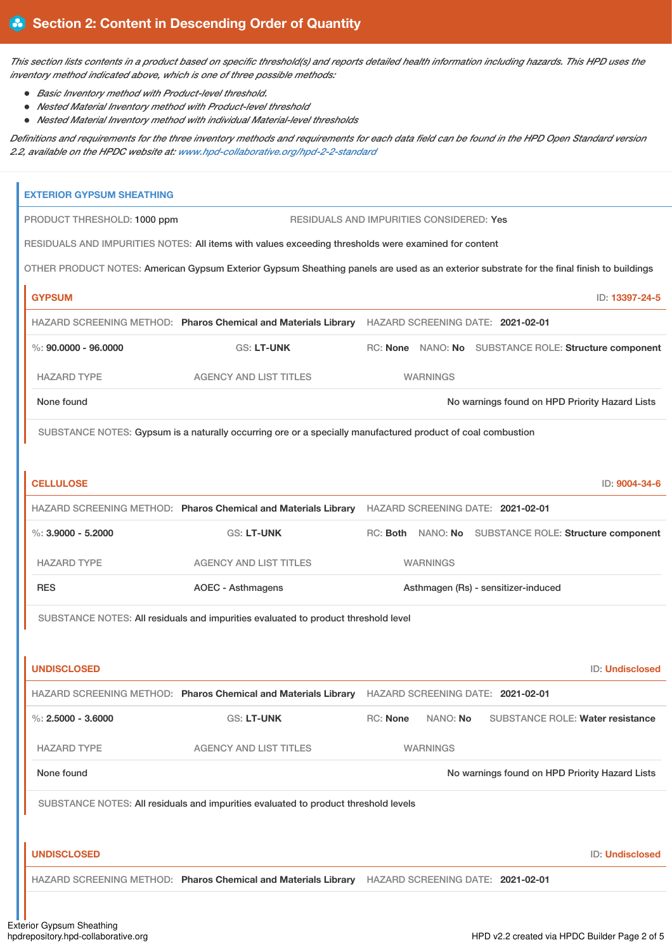This section lists contents in a product based on specific threshold(s) and reports detailed health information including hazards. This HPD uses the *inventory method indicated above, which is one of three possible methods:*

- *Basic Inventory method with Product-level threshold.*
- *Nested Material Inventory method with Product-level threshold*
- *Nested Material Inventory method with individual Material-level thresholds*

Definitions and requirements for the three inventory methods and requirements for each data field can be found in the HPD Open Standard version *2.2, available on the HPDC website at: [www.hpd-collaborative.org/hpd-2-2-standard](https://www.hpd-collaborative.org/hpd-2-2-standard)*

| <b>EXTERIOR GYPSUM SHEATHING</b> |                                                                                                             |                                                 |                                                                                                                                           |
|----------------------------------|-------------------------------------------------------------------------------------------------------------|-------------------------------------------------|-------------------------------------------------------------------------------------------------------------------------------------------|
| PRODUCT THRESHOLD: 1000 ppm      |                                                                                                             | <b>RESIDUALS AND IMPURITIES CONSIDERED: Yes</b> |                                                                                                                                           |
|                                  | RESIDUALS AND IMPURITIES NOTES: All items with values exceeding thresholds were examined for content        |                                                 |                                                                                                                                           |
|                                  |                                                                                                             |                                                 | OTHER PRODUCT NOTES: American Gypsum Exterior Gypsum Sheathing panels are used as an exterior substrate for the final finish to buildings |
| <b>GYPSUM</b>                    |                                                                                                             |                                                 | ID: 13397-24-5                                                                                                                            |
|                                  | HAZARD SCREENING METHOD: Pharos Chemical and Materials Library HAZARD SCREENING DATE: 2021-02-01            |                                                 |                                                                                                                                           |
| $\%$ : 90.0000 - 96.0000         | <b>GS: LT-UNK</b>                                                                                           |                                                 | RC: None NANO: No SUBSTANCE ROLE: Structure component                                                                                     |
| <b>HAZARD TYPE</b>               | <b>AGENCY AND LIST TITLES</b>                                                                               | <b>WARNINGS</b>                                 |                                                                                                                                           |
| None found                       |                                                                                                             |                                                 | No warnings found on HPD Priority Hazard Lists                                                                                            |
|                                  | SUBSTANCE NOTES: Gypsum is a naturally occurring ore or a specially manufactured product of coal combustion |                                                 |                                                                                                                                           |
|                                  |                                                                                                             |                                                 |                                                                                                                                           |
| <b>CELLULOSE</b>                 |                                                                                                             |                                                 | ID: 9004-34-6                                                                                                                             |
|                                  | HAZARD SCREENING METHOD: Pharos Chemical and Materials Library HAZARD SCREENING DATE: 2021-02-01            |                                                 |                                                                                                                                           |
| $\%$ : 3.9000 - 5.2000           | <b>GS: LT-UNK</b>                                                                                           |                                                 | RC: Both NANO: No SUBSTANCE ROLE: Structure component                                                                                     |
| <b>HAZARD TYPE</b>               | <b>AGENCY AND LIST TITLES</b>                                                                               | <b>WARNINGS</b>                                 |                                                                                                                                           |
| <b>RES</b>                       | <b>AOEC - Asthmagens</b>                                                                                    |                                                 | Asthmagen (Rs) - sensitizer-induced                                                                                                       |
|                                  | SUBSTANCE NOTES: All residuals and impurities evaluated to product threshold level                          |                                                 |                                                                                                                                           |
|                                  |                                                                                                             |                                                 |                                                                                                                                           |
| <b>UNDISCLOSED</b>               |                                                                                                             |                                                 | <b>ID: Undisclosed</b>                                                                                                                    |
|                                  | HAZARD SCREENING METHOD: Pharos Chemical and Materials Library HAZARD SCREENING DATE: 2021-02-01            |                                                 |                                                                                                                                           |
| %: $2.5000 - 3.6000$             | <b>GS: LT-UNK</b>                                                                                           | RC: None<br>NANO: No                            | SUBSTANCE ROLE: Water resistance                                                                                                          |
| <b>HAZARD TYPE</b>               | <b>AGENCY AND LIST TITLES</b>                                                                               | <b>WARNINGS</b>                                 |                                                                                                                                           |
| None found                       |                                                                                                             |                                                 | No warnings found on HPD Priority Hazard Lists                                                                                            |
|                                  | SUBSTANCE NOTES: All residuals and impurities evaluated to product threshold levels                         |                                                 |                                                                                                                                           |
|                                  |                                                                                                             |                                                 |                                                                                                                                           |
| <b>UNDISCLOSED</b>               |                                                                                                             |                                                 | ID: Undisclosed                                                                                                                           |
|                                  | HAZARD SCREENING METHOD: Pharos Chemical and Materials Library HAZARD SCREENING DATE: 2021-02-01            |                                                 |                                                                                                                                           |
|                                  |                                                                                                             |                                                 |                                                                                                                                           |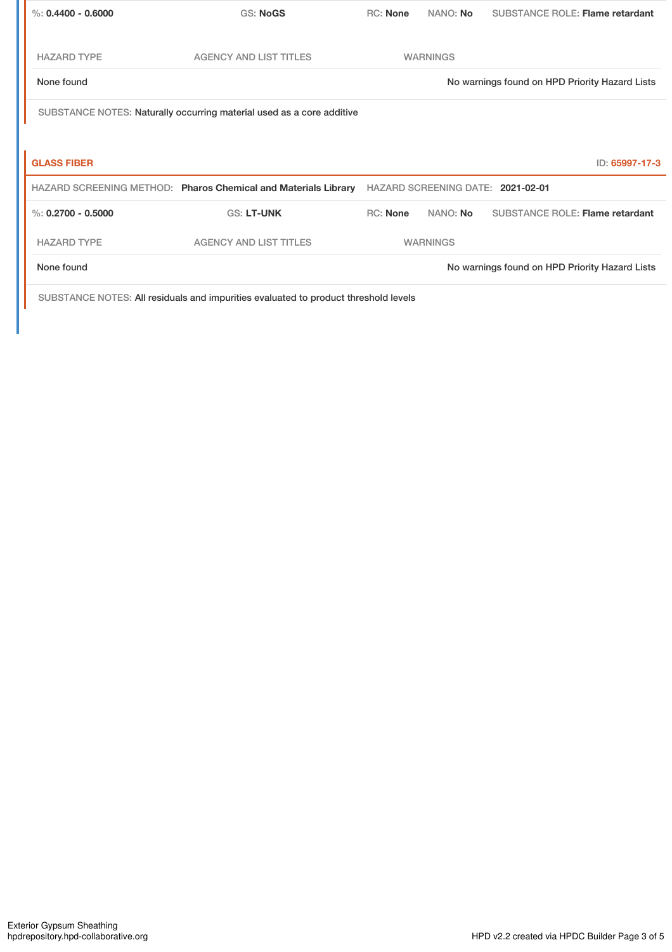| GS: NoGS                                                       | <b>RC:</b> None | NANO: No                                                              | SUBSTANCE ROLE: Flame retardant                                         |
|----------------------------------------------------------------|-----------------|-----------------------------------------------------------------------|-------------------------------------------------------------------------|
| <b>AGENCY AND LIST TITLES</b>                                  |                 |                                                                       |                                                                         |
|                                                                |                 |                                                                       | No warnings found on HPD Priority Hazard Lists                          |
|                                                                |                 |                                                                       |                                                                         |
|                                                                |                 |                                                                       |                                                                         |
|                                                                |                 |                                                                       | ID: 65997-17-3                                                          |
| HAZARD SCREENING METHOD: Pharos Chemical and Materials Library |                 |                                                                       |                                                                         |
| <b>GS: LT-UNK</b>                                              | <b>RC:</b> None | NANO: No                                                              | <b>SUBSTANCE ROLE: Flame retardant</b>                                  |
| <b>AGENCY AND LIST TITLES</b>                                  |                 |                                                                       |                                                                         |
|                                                                |                 |                                                                       | No warnings found on HPD Priority Hazard Lists                          |
|                                                                |                 | SUBSTANCE NOTES: Naturally occurring material used as a core additive | <b>WARNINGS</b><br>HAZARD SCREENING DATE: 2021-02-01<br><b>WARNINGS</b> |

SUBSTANCE NOTES: All residuals and impurities evaluated to product threshold levels

٠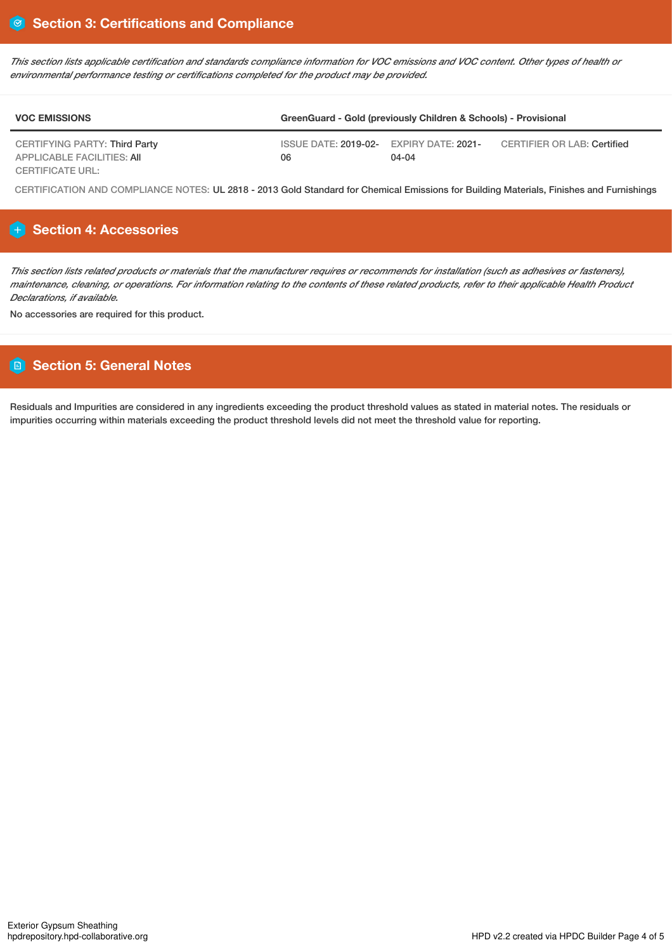This section lists applicable certification and standards compliance information for VOC emissions and VOC content. Other types of health or *environmental performance testing or certifications completed for the product may be provided.*

| <b>VOC EMISSIONS</b>                                  | GreenGuard - Gold (previously Children & Schools) - Provisional |           |                             |
|-------------------------------------------------------|-----------------------------------------------------------------|-----------|-----------------------------|
| CERTIFYING PARTY: Third Party                         | $\overline{1}$ ISSUE DATE: 2019-02- EXPIRY DATE: 2021-          |           | CERTIFIER OR LAB: Certified |
| APPLICABLE FACILITIES: AII<br><b>CERTIFICATE URL:</b> | 06                                                              | $04 - 04$ |                             |

CERTIFICATION AND COMPLIANCE NOTES: UL 2818 - 2013 Gold Standard for Chemical Emissions for Building Materials, Finishes and Furnishings

# **Section 4: Accessories**

This section lists related products or materials that the manufacturer requires or recommends for installation (such as adhesives or fasteners), maintenance, cleaning, or operations. For information relating to the contents of these related products, refer to their applicable Health Product *Declarations, if available.*

No accessories are required for this product.

# **Section 5: General Notes**

Residuals and Impurities are considered in any ingredients exceeding the product threshold values as stated in material notes. The residuals or impurities occurring within materials exceeding the product threshold levels did not meet the threshold value for reporting.